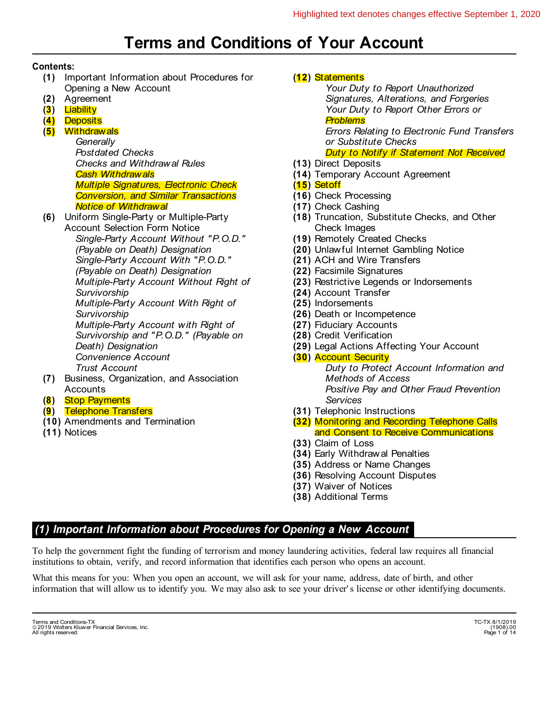# **Terms and Conditions of Your Account**

#### **Contents:**

- (1) Important Information about Procedures for Opening a New Account
- Agreement **(2)**
- Liability **(3)**
- Deposits **(4)**
- Withdrawals **(5)**

*Generally Postdated Checks Checks and Withdrawal Rules Cash Withdrawals Multiple Signatures, Electronic Check Conversion, and Similar Transactions Notice of Withdrawal* 

- **(6)**  Uniform Single-Party or Multiple-Party *Single-Party Account Without "P.O.D." (Payable on Death) Designation Single-Party Account With "P.O.D." (Payable on Death) Designation Multiple-Party Account Without Right of Survivorship Multiple-Party Account With Right of Survivorship Multiple-Party Account with Right of Survivorship and "P.O.D." (Payable on Death) Designation Convenience Account Trust Account* Account Selection Form Notice
- **(7)**  Business, Organization, and Association **Accounts**
- **(8)**  Stop Payments
- **(9)**  Telephone Transfers
- **(10)**  Amendments and Termination
- **(11)**  Notices

#### **(12)**  Statements

(13) Direct Deposits (14) Temporary Account Agreement Setoff **(15)**  Check Processing **(16)**  (17) Check Cashing (18) Truncation, Substitute Checks, and Other Check Images (19) Remotely Created Checks Unlawful Internet Gambling Notice **(20)**  (21) ACH and Wire Transfers Facsimile Signatures **(22)**  (23) Restrictive Legends or Indorsements (24) Account Transfer Indorsements **(25)**  (26) Death or Incompetence Fiduciary Accounts **(27)**  Credit Verification **(28)**  Legal Actions Affecting Your Account **(29)**  (30) Account Security *Your Duty to Report Unauthorized Signatures, Alterations, and Forgeries Your Duty to Report Other Errors or Problems Errors Relating to Electronic Fund Transfers or Substitute Checks Duty to Notify if Statement Not Received Duty to Protect Account Information and Methods of Access Positive Pay and Other Fraud Prevention Services* **(31)**  Telephonic Instructions **(32)**  Monitoring and Recording Telephone Calls

- and Consent to Receive Communications
- **(33)**  Claim of Loss
- **(34)**  Early Withdrawal Penalties
- **(35)**  Address or Name Changes
- **(36)**  Resolving Account Disputes
- **(37)**  Waiver of Notices
- **(38)** Additional Terms

#### *(1) Important Information about Procedures for Opening a New Account*

To help the government fight the funding of terrorism and money laundering activities, federal law requires all financial institutions to obtain, verify, and record information that identifies each person who opens an account.

What this means for you: When you open an account, we will ask for your name, address, date of birth, and other information that will allow us to identify you. We may also ask to see your driver' s license or other identifying documents.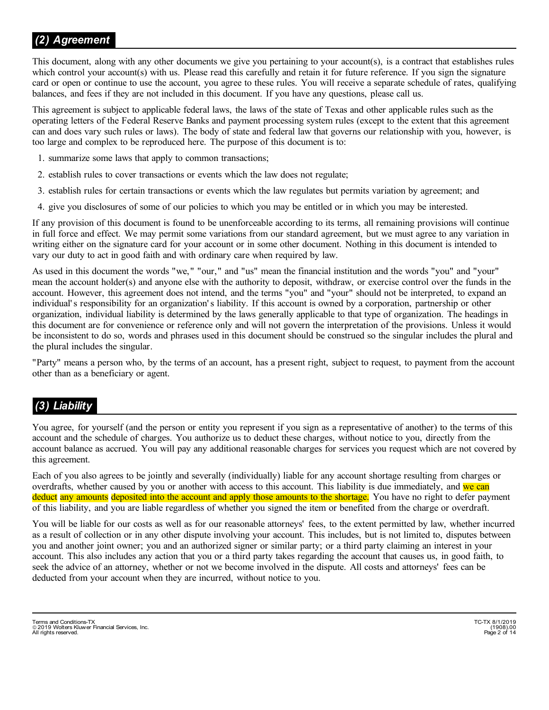## *(2) Agreement*

This document, along with any other documents we give you pertaining to your account(s), is a contract that establishes rules which control your account(s) with us. Please read this carefully and retain it for future reference. If you sign the signature card or open or continue to use the account, you agree to these rules. You will receive a separate schedule of rates, qualifying balances, and fees if they are not included in this document. If you have any questions, please call us.

This agreement is subject to applicable federal laws, the laws of the state of Texas and other applicable rules such as the operating letters of the Federal Reserve Banks and payment processing system rules (except to the extent that this agreement can and does vary such rules or laws). The body of state and federal law that governs our relationship with you, however, is too large and complex to be reproduced here. The purpose of this document is to:

- 1. summarize some laws that apply to common transactions;
- 2. establish rules to cover transactions or events which the law does not regulate;
- 3. establish rules for certain transactions or events which the law regulates but permits variation by agreement; and
- 4. give you disclosures of some of our policies to which you may be entitled or in which you may be interested.

If any provision of this document is found to be unenforceable according to its terms, all remaining provisions will continue in full force and effect. We may permit some variations from our standard agreement, but we must agree to any variation in writing either on the signature card for your account or in some other document. Nothing in this document is intended to vary our duty to act in good faith and with ordinary care when required by law.

As used in this document the words "we," "our," and "us" mean the financial institution and the words "you" and "your" mean the account holder(s) and anyone else with the authority to deposit, withdraw, or exercise control over the funds in the account. However, this agreement does not intend, and the terms "you" and "your" should not be interpreted, to expand an individual' s responsibility for an organization's liability. If this account is owned by a corporation, partnership or other organization, individual liability is determined by the laws generally applicable to that type of organization. The headings in this document are for convenience or reference only and will not govern the interpretation of the provisions. Unless it would be inconsistent to do so, words and phrases used in this document should be construed so the singular includes the plural and the plural includes the singular.

"Party" means a person who, by the terms of an account, has a present right, subject to request, to payment from the account other than as a beneficiary or agent.

## *(3) Liability*

You agree, for yourself (and the person or entity you represent if you sign as a representative of another) to the terms of this account and the schedule of charges. You authorize us to deduct these charges, without notice to you, directly from the account balance as accrued. You will pay any additional reasonable charges for services you request which are not covered by this agreement.

Each of you also agrees to be jointly and severally (individually) liable for any account shortage resulting from charges or overdrafts, whether caused by you or another with access to this account. This liability is due immediately, and we can deduct any amounts deposited into the account and apply those amounts to the shortage. You have no right to defer payment of this liability, and you are liable regardless of whether you signed the item or benefited from the charge or overdraft.

You will be liable for our costs as well as for our reasonable attorneys' fees, to the extent permitted by law, whether incurred as a result of collection or in any other dispute involving your account. This includes, but is not limited to, disputes between you and another joint owner; you and an authorized signer or similar party; or a third party claiming an interest in your account. This also includes any action that you or a third party takes regarding the account that causes us, in good faith, to seek the advice of an attorney, whether or not we become involved in the dispute. All costs and attorneys' fees can be deducted from your account when they are incurred, without notice to you.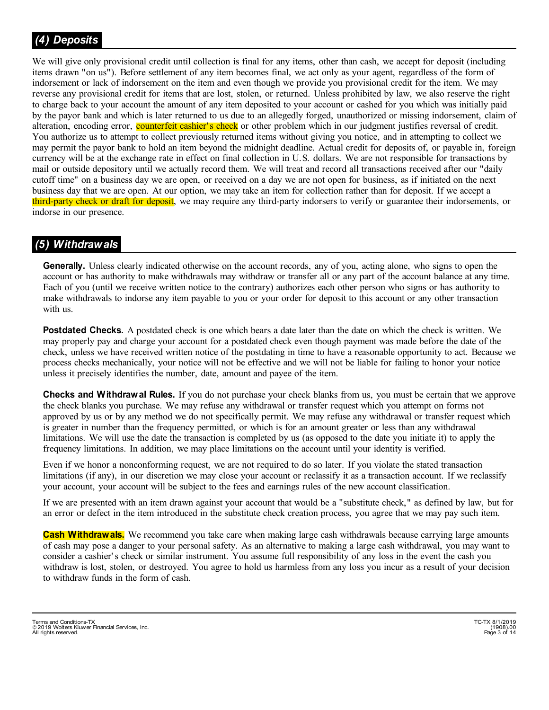## *(4) Deposits*

We will give only provisional credit until collection is final for any items, other than cash, we accept for deposit (including items drawn "on us"). Before settlement of any item becomes final, we act only as your agent, regardless of the form of indorsement or lack of indorsement on the item and even though we provide you provisional credit for the item. We may reverse any provisional credit for items that are lost, stolen, or returned. Unless prohibited by law, we also reserve the right to charge back to your account the amount of any item deposited to your account or cashed for you which was initially paid by the payor bank and which is later returned to us due to an allegedly forged, unauthorized or missing indorsement, claim of alteration, encoding error, **counterfeit cashier's check** or other problem which in our judgment justifies reversal of credit. You authorize us to attempt to collect previously returned items without giving you notice, and in attempting to collect we may permit the payor bank to hold an item beyond the midnight deadline. Actual credit for deposits of, or payable in, foreign currency will be at the exchange rate in effect on final collection in U.S. dollars. We are not responsible for transactions by mail or outside depository until we actually record them. We will treat and record all transactions received after our "daily cutoff time" on a business day we are open, or received on a day we are not open for business, as if initiated on the next business day that we are open. At our option, we may take an item for collection rather than for deposit. If we accept a third-party check or draft for deposit, we may require any third-party indorsers to verify or guarantee their indorsements, or indorse in our presence.

## *(5) Withdrawals*

Generally. Unless clearly indicated otherwise on the account records, any of you, acting alone, who signs to open the account or has authority to make withdrawals may withdraw or transfer all or any part of the account balance at any time. Each of you (until we receive written notice to the contrary) authorizes each other person who signs or has authority to make withdrawals to indorse any item payable to you or your order for deposit to this account or any other transaction with us.

**Postdated Checks.** A postdated check is one which bears a date later than the date on which the check is written. We may properly pay and charge your account for a postdated check even though payment was made before the date of the check, unless we have received written notice of the postdating in time to have a reasonable opportunity to act. Because we process checks mechanically, your notice will not be effective and we will not be liable for failing to honor your notice unless it precisely identifies the number, date, amount and payee of the item.

**Checks and Withdrawal Rules.** If you do not purchase your check blanks from us, you must be certain that we approve the check blanks you purchase. We may refuse any withdrawal or transfer request which you attempt on forms not approved by us or by any method we do not specifically permit. We may refuse any withdrawal or transfer request which is greater in number than the frequency permitted, or which is for an amount greater or less than any withdrawal limitations. We will use the date the transaction is completed by us (as opposed to the date you initiate it) to apply the frequency limitations. In addition, we may place limitations on the account until your identity is verified.

Even if we honor a nonconforming request, we are not required to do so later. If you violate the stated transaction limitations (if any), in our discretion we may close your account or reclassify it as a transaction account. If we reclassify your account, your account will be subject to the fees and earnings rules of the new account classification.

If we are presented with an item drawn against your account that would be a "substitute check," as defined by law, but for an error or defect in the item introduced in the substitute check creation process, you agree that we may pay such item.

**Cash Withdrawals.** We recommend you take care when making large cash withdrawals because carrying large amounts of cash may pose a danger to your personal safety. As an alternative to making a large cash withdrawal, you may want to consider a cashier's check or similar instrument. You assume full responsibility of any loss in the event the cash you withdraw is lost, stolen, or destroyed. You agree to hold us harmless from any loss you incur as a result of your decision to withdraw funds in the form of cash.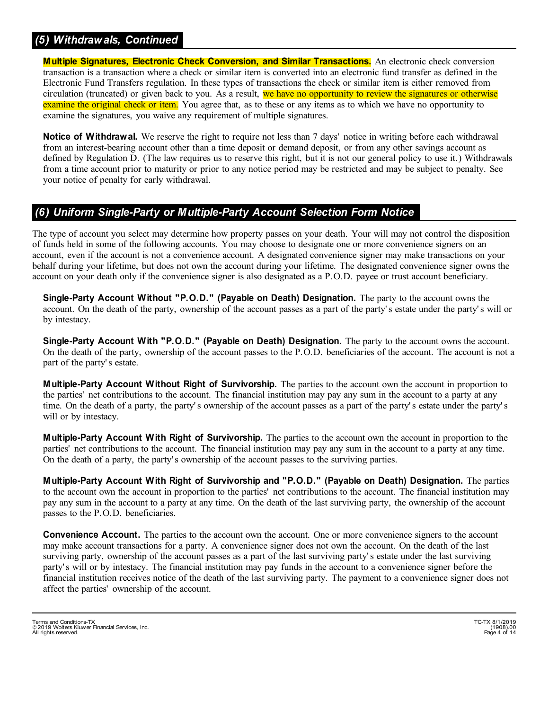#### *(5) Withdrawals, Continued*

**Multiple Signatures, Electronic Check Conversion, and Similar Transactions.** An electronic check conversion transaction is a transaction where a check or similar item is converted into an electronic fund transfer as defined in the Electronic Fund Transfers regulation. In these types of transactions the check or similar item is either removed from circulation (truncated) or given back to you. As a result, we have no opportunity to review the signatures or otherwise examine the original check or item. You agree that, as to these or any items as to which we have no opportunity to examine the signatures, you waive any requirement of multiple signatures.

**Notice of Withdrawal.** We reserve the right to require not less than 7 days' notice in writing before each withdrawal from an interest-bearing account other than a time deposit or demand deposit, or from any other savings account as defined by Regulation D. (The law requires us to reserve this right, but it is not our general policy to use it.) Withdrawals from a time account prior to maturity or prior to any notice period may be restricted and may be subject to penalty. See your notice of penalty for early withdrawal.

#### *(6) Uniform Single-Party or Multiple-Party Account Selection Form Notice*

The type of account you select may determine how property passes on your death. Your will may not control the disposition of funds held in some of the following accounts. You may choose to designate one or more convenience signers on an account, even if the account is not a convenience account. A designated convenience signer may make transactions on your behalf during your lifetime, but does not own the account during your lifetime. The designated convenience signer owns the account on your death only if the convenience signer is also designated as a P.O.D. payee or trust account beneficiary.

**Single-Party Account Without "P.O.D." (Payable on Death) Designation.** The party to the account owns the account. On the death of the party, ownership of the account passes as a part of the party' s estate under the party' s will or by intestacy.

**Single-Party Account With "P.O.D." (Payable on Death) Designation.** The party to the account owns the account. On the death of the party, ownership of the account passes to the P.O.D. beneficiaries of the account. The account is not a part of the party' s estate.

**Multiple-Party Account Without Right of Survivorship.** The parties to the account own the account in proportion to the parties' net contributions to the account. The financial institution may pay any sum in the account to a party at any time. On the death of a party, the party's ownership of the account passes as a part of the party's estate under the party's will or by intestacy.

**Multiple-Party Account With Right of Survivorship.** The parties to the account own the account in proportion to the parties' net contributions to the account. The financial institution may pay any sum in the account to a party at any time. On the death of a party, the party' s ownership of the account passes to the surviving parties.

**Multiple-Party Account With Right of Survivorship and "P.O.D." (Payable on Death) Designation.** The parties to the account own the account in proportion to the parties' net contributions to the account. The financial institution may pay any sum in the account to a party at any time. On the death of the last surviving party, the ownership of the account passes to the P.O.D. beneficiaries.

**Convenience Account.** The parties to the account own the account. One or more convenience signers to the account may make account transactions for a party. A convenience signer does not own the account. On the death of the last surviving party, ownership of the account passes as a part of the last surviving party' s estate under the last surviving party' s will or by intestacy. The financial institution may pay funds in the account to a convenience signer before the financial institution receives notice of the death of the last surviving party. The payment to a convenience signer does not affect the parties' ownership of the account.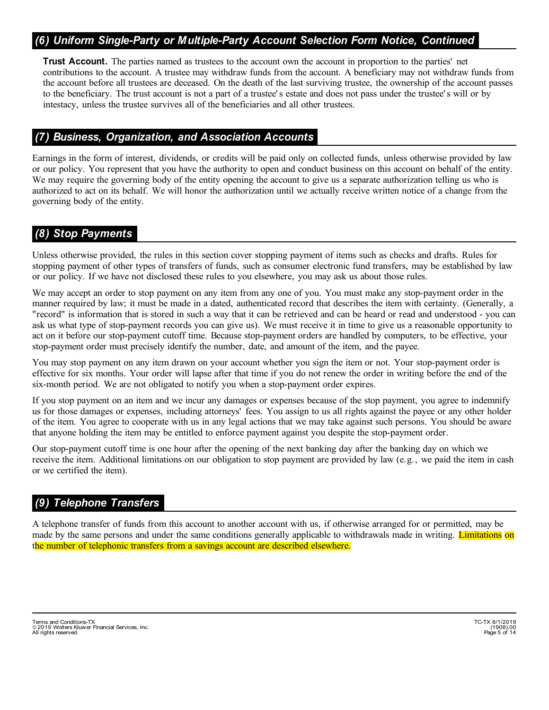## *(6) Uniform Single-Party or Multiple-Party Account Selection Form Notice, Continued*

**Trust Account.** The parties named as trustees to the account own the account in proportion to the parties' net contributions to the account. A trustee may withdraw funds from the account. A beneficiary may not withdraw funds from the account before all trustees are deceased. On the death of the last surviving trustee, the ownership of the account passes to the beneficiary. The trust account is not a part of a trustee' s estate and does not pass under the trustee' s will or by intestacy, unless the trustee survives all of the beneficiaries and all other trustees.

#### *(7) Business, Organization, and Association Accounts*

Earnings in the form of interest, dividends, or credits will be paid only on collected funds, unless otherwise provided by law or our policy. You represent that you have the authority to open and conduct business on this account on behalf of the entity. We may require the governing body of the entity opening the account to give us a separate authorization telling us who is authorized to act on its behalf. We will honor the authorization until we actually receive written notice of a change from the governing body of the entity.

#### *(8) Stop Payments*

Unless otherwise provided, the rules in this section cover stopping payment of items such as checks and drafts. Rules for stopping payment of other types of transfers of funds, such as consumer electronic fund transfers, may be established by law or our policy. If we have not disclosed these rules to you elsewhere, you may ask us about those rules.

We may accept an order to stop payment on any item from any one of you. You must make any stop-payment order in the manner required by law; it must be made in a dated, authenticated record that describes the item with certainty. (Generally, a "record" is information that is stored in such a way that it can be retrieved and can be heard or read and understood - you can ask us what type of stop-payment records you can give us). We must receive it in time to give us a reasonable opportunity to act on it before our stop-payment cutoff time. Because stop-payment orders are handled by computers, to be effective, your stop-payment order must precisely identify the number, date, and amount of the item, and the payee.

You may stop payment on any item drawn on your account whether you sign the item or not. Your stop-payment order is effective for six months. Your order will lapse after that time if you do not renew the order in writing before the end of the six-month period. We are not obligated to notify you when a stop-payment order expires.

If you stop payment on an item and we incur any damages or expenses because of the stop payment, you agree to indemnify us for those damages or expenses, including attorneys' fees. You assign to us all rights against the payee or any other holder of the item. You agree to cooperate with us in any legal actions that we may take against such persons. You should be aware that anyone holding the item may be entitled to enforce payment against you despite the stop-payment order.

Our stop-payment cutoff time is one hour after the opening of the next banking day after the banking day on which we receive the item. Additional limitations on our obligation to stop payment are provided by law (e.g., we paid the item in cash or we certified the item).

## *(9) Telephone Transfers*

A telephone transfer of funds from this account to another account with us, if otherwise arranged for or permitted, may be made by the same persons and under the same conditions generally applicable to withdrawals made in writing. Limitations on the number of telephonic transfers from a savings account are described elsewhere.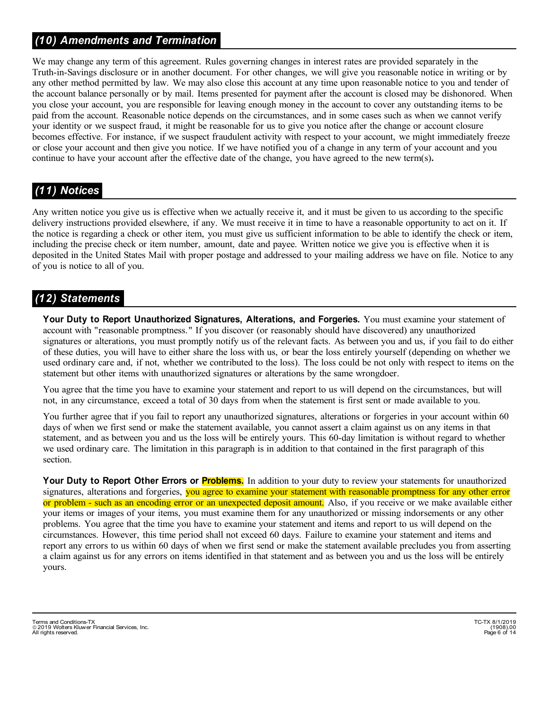### *(10) Amendments and Termination*

We may change any term of this agreement. Rules governing changes in interest rates are provided separately in the Truth-in-Savings disclosure or in another document. For other changes, we will give you reasonable notice in writing or by any other method permitted by law. We may also close this account at any time upon reasonable notice to you and tender of the account balance personally or by mail. Items presented for payment after the account is closed may be dishonored. When you close your account, you are responsible for leaving enough money in the account to cover any outstanding items to be paid from the account. Reasonable notice depends on the circumstances, and in some cases such as when we cannot verify your identity or we suspect fraud, it might be reasonable for us to give you notice after the change or account closure becomes effective. For instance, if we suspect fraudulent activity with respect to your account, we might immediately freeze or close your account and then give you notice. If we have notified you of a change in any term of your account and you continue to have your account after the effective date of the change, you have agreed to the new term(s)**.**

## *(11) Notices*

Any written notice you give us is effective when we actually receive it, and it must be given to us according to the specific delivery instructions provided elsewhere, if any. We must receive it in time to have a reasonable opportunity to act on it. If the notice is regarding a check or other item, you must give us sufficient information to be able to identify the check or item, including the precise check or item number, amount, date and payee. Written notice we give you is effective when it is deposited in the United States Mail with proper postage and addressed to your mailing address we have on file. Notice to any of you is notice to all of you.

## *(12) Statements*

**Your Duty to Report Unauthorized Signatures, Alterations, and Forgeries.** You must examine your statement of account with "reasonable promptness." If you discover (or reasonably should have discovered) any unauthorized signatures or alterations, you must promptly notify us of the relevant facts. As between you and us, if you fail to do either of these duties, you will have to either share the loss with us, or bear the loss entirely yourself (depending on whether we used ordinary care and, if not, whether we contributed to the loss). The loss could be not only with respect to items on the statement but other items with unauthorized signatures or alterations by the same wrongdoer.

You agree that the time you have to examine your statement and report to us will depend on the circumstances, but will not, in any circumstance, exceed a total of 30 days from when the statement is first sent or made available to you.

You further agree that if you fail to report any unauthorized signatures, alterations or forgeries in your account within 60 days of when we first send or make the statement available, you cannot assert a claim against us on any items in that statement, and as between you and us the loss will be entirely yours. This 60-day limitation is without regard to whether we used ordinary care. The limitation in this paragraph is in addition to that contained in the first paragraph of this section.

Your Duty to Report Other Errors or **Problems.** In addition to your duty to review your statements for unauthorized signatures, alterations and forgeries, you agree to examine your statement with reasonable promptness for any other error or problem - such as an encoding error or an unexpected deposit amount. Also, if you receive or we make available either your items or images of your items, you must examine them for any unauthorized or missing indorsements or any other problems. You agree that the time you have to examine your statement and items and report to us will depend on the circumstances. However, this time period shall not exceed 60 days. Failure to examine your statement and items and report any errors to us within 60 days of when we first send or make the statement available precludes you from asserting a claim against us for any errors on items identified in that statement and as between you and us the loss will be entirely yours.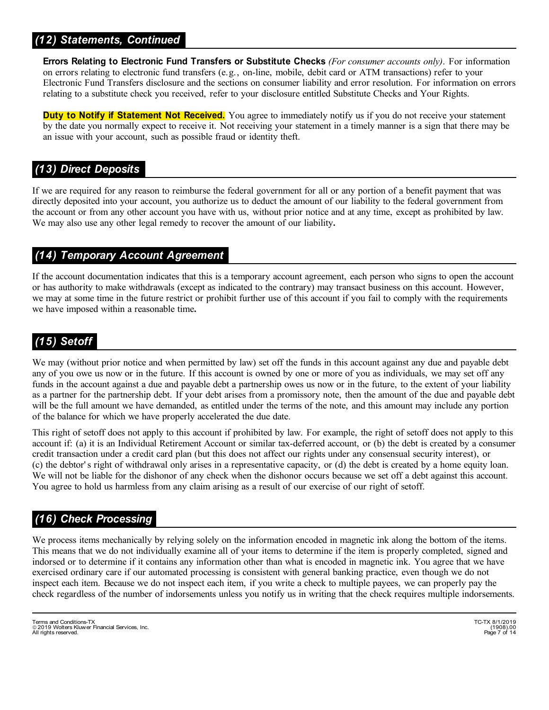## *(12) Statements, Continued*

**Errors Relating to Electronic Fund Transfers or Substitute Checks** *(For consumer accounts only)*. For information on errors relating to electronic fund transfers (e.g., on-line, mobile, debit card or ATM transactions) refer to your Electronic Fund Transfers disclosure and the sections on consumer liability and error resolution. For information on errors relating to a substitute check you received, refer to your disclosure entitled Substitute Checks and Your Rights.

**Duty to Notify if Statement Not Received.** You agree to immediately notify us if you do not receive your statement by the date you normally expect to receive it. Not receiving your statement in a timely manner is a sign that there may be an issue with your account, such as possible fraud or identity theft.

## *(13) Direct Deposits*

If we are required for any reason to reimburse the federal government for all or any portion of a benefit payment that was directly deposited into your account, you authorize us to deduct the amount of our liability to the federal government from the account or from any other account you have with us, without prior notice and at any time, except as prohibited by law. We may also use any other legal remedy to recover the amount of our liability**.**

#### *(14) Temporary Account Agreement*

If the account documentation indicates that this is a temporary account agreement, each person who signs to open the account or has authority to make withdrawals (except as indicated to the contrary) may transact business on this account. However, we may at some time in the future restrict or prohibit further use of this account if you fail to comply with the requirements we have imposed within a reasonable time**.**

## *(15) Setoff*

We may (without prior notice and when permitted by law) set off the funds in this account against any due and payable debt any of you owe us now or in the future. If this account is owned by one or more of you as individuals, we may set off any funds in the account against a due and payable debt a partnership owes us now or in the future, to the extent of your liability as a partner for the partnership debt. If your debt arises from a promissory note, then the amount of the due and payable debt will be the full amount we have demanded, as entitled under the terms of the note, and this amount may include any portion of the balance for which we have properly accelerated the due date.

This right of setoff does not apply to this account if prohibited by law. For example, the right of setoff does not apply to this account if: (a) it is an Individual Retirement Account or similar tax-deferred account, or (b) the debt is created by a consumer credit transaction under a credit card plan (but this does not affect our rights under any consensual security interest), or (c) the debtor' s right of withdrawal only arises in a representative capacity, or (d) the debt is created by a home equity loan. We will not be liable for the dishonor of any check when the dishonor occurs because we set off a debt against this account. You agree to hold us harmless from any claim arising as a result of our exercise of our right of setoff.

#### *(16) Check Processing*

We process items mechanically by relying solely on the information encoded in magnetic ink along the bottom of the items. This means that we do not individually examine all of your items to determine if the item is properly completed, signed and indorsed or to determine if it contains any information other than what is encoded in magnetic ink. You agree that we have exercised ordinary care if our automated processing is consistent with general banking practice, even though we do not inspect each item. Because we do not inspect each item, if you write a check to multiple payees, we can properly pay the check regardless of the number of indorsements unless you notify us in writing that the check requires multiple indorsements.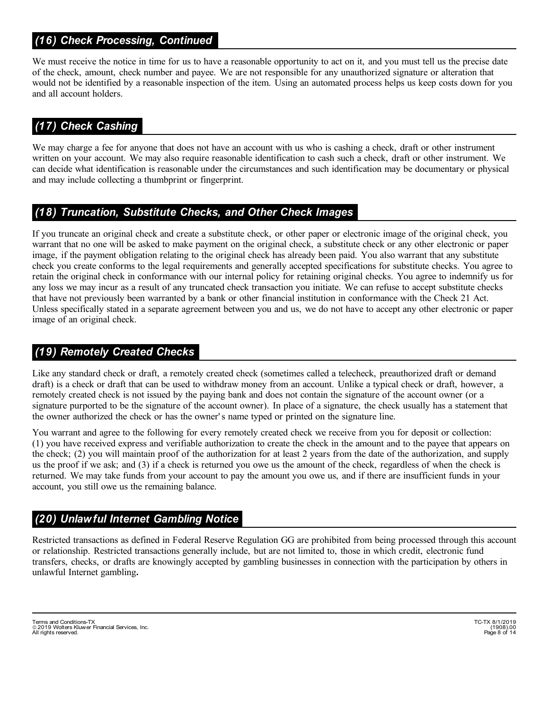#### *(16) Check Processing, Continued*

We must receive the notice in time for us to have a reasonable opportunity to act on it, and you must tell us the precise date of the check, amount, check number and payee. We are not responsible for any unauthorized signature or alteration that would not be identified by a reasonable inspection of the item. Using an automated process helps us keep costs down for you and all account holders.

## *(17) Check Cashing*

We may charge a fee for anyone that does not have an account with us who is cashing a check, draft or other instrument written on your account. We may also require reasonable identification to cash such a check, draft or other instrument. We can decide what identification is reasonable under the circumstances and such identification may be documentary or physical and may include collecting a thumbprint or fingerprint.

#### *(18) Truncation, Substitute Checks, and Other Check Images*

If you truncate an original check and create a substitute check, or other paper or electronic image of the original check, you warrant that no one will be asked to make payment on the original check, a substitute check or any other electronic or paper image, if the payment obligation relating to the original check has already been paid. You also warrant that any substitute check you create conforms to the legal requirements and generally accepted specifications for substitute checks. You agree to retain the original check in conformance with our internal policy for retaining original checks. You agree to indemnify us for any loss we may incur as a result of any truncated check transaction you initiate. We can refuse to accept substitute checks that have not previously been warranted by a bank or other financial institution in conformance with the Check 21 Act. Unless specifically stated in a separate agreement between you and us, we do not have to accept any other electronic or paper image of an original check.

#### *(19) Remotely Created Checks*

Like any standard check or draft, a remotely created check (sometimes called a telecheck, preauthorized draft or demand draft) is a check or draft that can be used to withdraw money from an account. Unlike a typical check or draft, however, a remotely created check is not issued by the paying bank and does not contain the signature of the account owner (or a signature purported to be the signature of the account owner). In place of a signature, the check usually has a statement that the owner authorized the check or has the owner' s name typed or printed on the signature line.

You warrant and agree to the following for every remotely created check we receive from you for deposit or collection: (1) you have received express and verifiable authorization to create the check in the amount and to the payee that appears on the check; (2) you will maintain proof of the authorization for at least 2 years from the date of the authorization, and supply us the proof if we ask; and (3) if a check is returned you owe us the amount of the check, regardless of when the check is returned. We may take funds from your account to pay the amount you owe us, and if there are insufficient funds in your account, you still owe us the remaining balance.

#### *(20) Unlawful Internet Gambling Notice*

Restricted transactions as defined in Federal Reserve Regulation GG are prohibited from being processed through this account or relationship. Restricted transactions generally include, but are not limited to, those in which credit, electronic fund transfers, checks, or drafts are knowingly accepted by gambling businesses in connection with the participation by others in unlawful Internet gambling**.**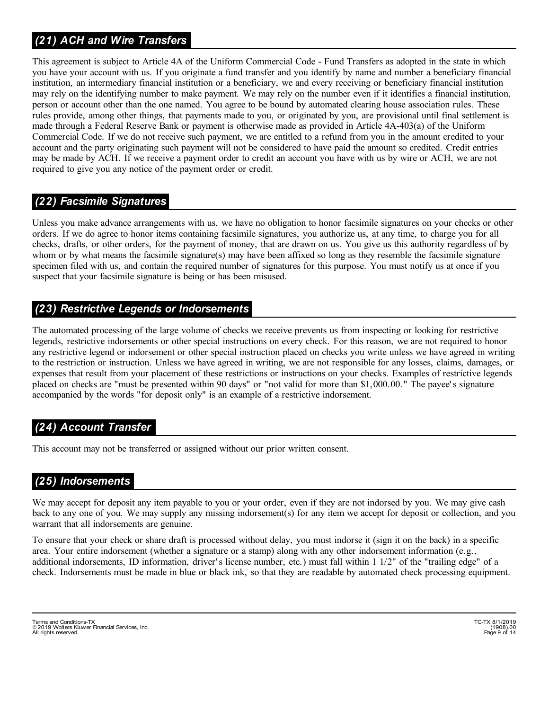## *(21) ACH and Wire Transfers*

This agreement is subject to Article 4A of the Uniform Commercial Code - Fund Transfers as adopted in the state in which you have your account with us. If you originate a fund transfer and you identify by name and number a beneficiary financial institution, an intermediary financial institution or a beneficiary, we and every receiving or beneficiary financial institution may rely on the identifying number to make payment. We may rely on the number even if it identifies a financial institution, person or account other than the one named. You agree to be bound by automated clearing house association rules. These rules provide, among other things, that payments made to you, or originated by you, are provisional until final settlement is made through a Federal Reserve Bank or payment is otherwise made as provided in Article 4A-403(a) of the Uniform Commercial Code. If we do not receive such payment, we are entitled to a refund from you in the amount credited to your account and the party originating such payment will not be considered to have paid the amount so credited. Credit entries may be made by ACH. If we receive a payment order to credit an account you have with us by wire or ACH, we are not required to give you any notice of the payment order or credit.

## *(22) Facsimile Signatures*

Unless you make advance arrangements with us, we have no obligation to honor facsimile signatures on your checks or other orders. If we do agree to honor items containing facsimile signatures, you authorize us, at any time, to charge you for all checks, drafts, or other orders, for the payment of money, that are drawn on us. You give us this authority regardless of by whom or by what means the facsimile signature(s) may have been affixed so long as they resemble the facsimile signature specimen filed with us, and contain the required number of signatures for this purpose. You must notify us at once if you suspect that your facsimile signature is being or has been misused.

#### *(23) Restrictive Legends or Indorsements*

The automated processing of the large volume of checks we receive prevents us from inspecting or looking for restrictive legends, restrictive indorsements or other special instructions on every check. For this reason, we are not required to honor any restrictive legend or indorsement or other special instruction placed on checks you write unless we have agreed in writing to the restriction or instruction. Unless we have agreed in writing, we are not responsible for any losses, claims, damages, or expenses that result from your placement of these restrictions or instructions on your checks. Examples of restrictive legends placed on checks are "must be presented within 90 days" or "not valid for more than \$1,000.00." The payee' s signature accompanied by the words "for deposit only" is an example of a restrictive indorsement.

## *(24) Account Transfer*

This account may not be transferred or assigned without our prior written consent.

#### *(25) Indorsements*

We may accept for deposit any item payable to you or your order, even if they are not indorsed by you. We may give cash back to any one of you. We may supply any missing indorsement(s) for any item we accept for deposit or collection, and you warrant that all indorsements are genuine.

To ensure that your check or share draft is processed without delay, you must indorse it (sign it on the back) in a specific area. Your entire indorsement (whether a signature or a stamp) along with any other indorsement information (e.g., additional indorsements, ID information, driver's license number, etc.) must fall within 1 1/2" of the "trailing edge" of a check. Indorsements must be made in blue or black ink, so that they are readable by automated check processing equipment.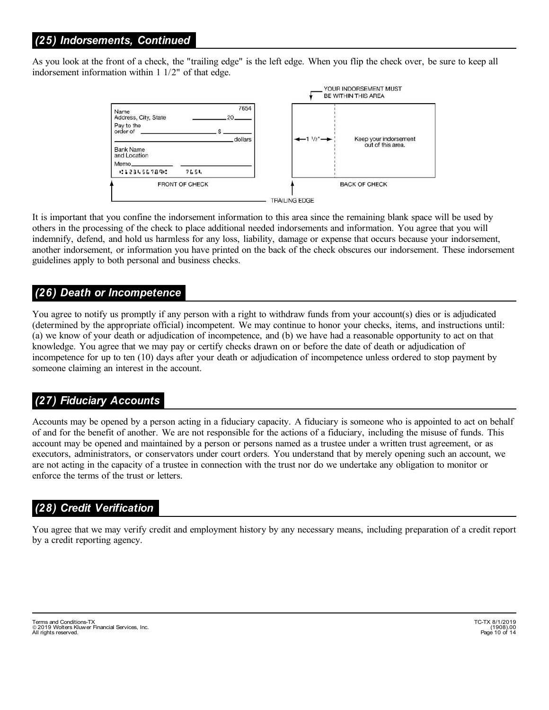#### *(25) Indorsements, Continued*

As you look at the front of a check, the "trailing edge" is the left edge. When you flip the check over, be sure to keep all indorsement information within 1 1/2" of that edge.



It is important that you confine the indorsement information to this area since the remaining blank space will be used by others in the processing of the check to place additional needed indorsements and information. You agree that you will indemnify, defend, and hold us harmless for any loss, liability, damage or expense that occurs because your indorsement, another indorsement, or information you have printed on the back of the check obscures our indorsement. These indorsement guidelines apply to both personal and business checks.

#### *(26) Death or Incompetence*

You agree to notify us promptly if any person with a right to withdraw funds from your account(s) dies or is adjudicated (determined by the appropriate official) incompetent. We may continue to honor your checks, items, and instructions until: (a) we know of your death or adjudication of incompetence, and (b) we have had a reasonable opportunity to act on that knowledge. You agree that we may pay or certify checks drawn on or before the date of death or adjudication of incompetence for up to ten (10) days after your death or adjudication of incompetence unless ordered to stop payment by someone claiming an interest in the account.

#### *(27) Fiduciary Accounts*

Accounts may be opened by a person acting in a fiduciary capacity. A fiduciary is someone who is appointed to act on behalf of and for the benefit of another. We are not responsible for the actions of a fiduciary, including the misuse of funds. This account may be opened and maintained by a person or persons named as a trustee under a written trust agreement, or as executors, administrators, or conservators under court orders. You understand that by merely opening such an account, we are not acting in the capacity of a trustee in connection with the trust nor do we undertake any obligation to monitor or enforce the terms of the trust or letters.

## *(28) Credit Verification*

You agree that we may verify credit and employment history by any necessary means, including preparation of a credit report by a credit reporting agency.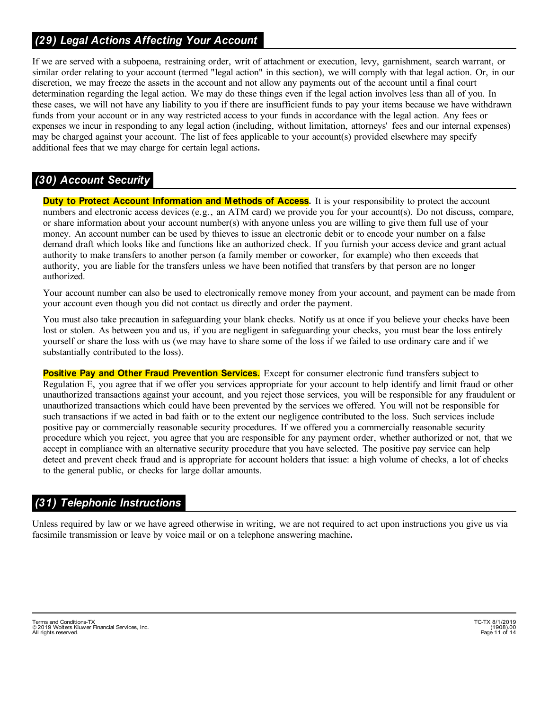## *(29) Legal Actions Affecting Your Account*

If we are served with a subpoena, restraining order, writ of attachment or execution, levy, garnishment, search warrant, or similar order relating to your account (termed "legal action" in this section), we will comply with that legal action. Or, in our discretion, we may freeze the assets in the account and not allow any payments out of the account until a final court determination regarding the legal action. We may do these things even if the legal action involves less than all of you. In these cases, we will not have any liability to you if there are insufficient funds to pay your items because we have withdrawn funds from your account or in any way restricted access to your funds in accordance with the legal action. Any fees or expenses we incur in responding to any legal action (including, without limitation, attorneys' fees and our internal expenses) may be charged against your account. The list of fees applicable to your account(s) provided elsewhere may specify additional fees that we may charge for certain legal actions**.**

## *(30) Account Security*

**Duty to Protect Account Information and Methods of Access.** It is your responsibility to protect the account numbers and electronic access devices (e.g., an ATM card) we provide you for your account(s). Do not discuss, compare, or share information about your account number(s) with anyone unless you are willing to give them full use of your money. An account number can be used by thieves to issue an electronic debit or to encode your number on a false demand draft which looks like and functions like an authorized check. If you furnish your access device and grant actual authority to make transfers to another person (a family member or coworker, for example) who then exceeds that authority, you are liable for the transfers unless we have been notified that transfers by that person are no longer authorized.

Your account number can also be used to electronically remove money from your account, and payment can be made from your account even though you did not contact us directly and order the payment.

You must also take precaution in safeguarding your blank checks. Notify us at once if you believe your checks have been lost or stolen. As between you and us, if you are negligent in safeguarding your checks, you must bear the loss entirely yourself or share the loss with us (we may have to share some of the loss if we failed to use ordinary care and if we substantially contributed to the loss).

**Positive Pay and Other Fraud Prevention Services.** Except for consumer electronic fund transfers subject to Regulation E, you agree that if we offer you services appropriate for your account to help identify and limit fraud or other unauthorized transactions against your account, and you reject those services, you will be responsible for any fraudulent or unauthorized transactions which could have been prevented by the services we offered. You will not be responsible for such transactions if we acted in bad faith or to the extent our negligence contributed to the loss. Such services include positive pay or commercially reasonable security procedures. If we offered you a commercially reasonable security procedure which you reject, you agree that you are responsible for any payment order, whether authorized or not, that we accept in compliance with an alternative security procedure that you have selected. The positive pay service can help detect and prevent check fraud and is appropriate for account holders that issue: a high volume of checks, a lot of checks to the general public, or checks for large dollar amounts.

#### *(31) Telephonic Instructions*

Unless required by law or we have agreed otherwise in writing, we are not required to act upon instructions you give us via facsimile transmission or leave by voice mail or on a telephone answering machine**.**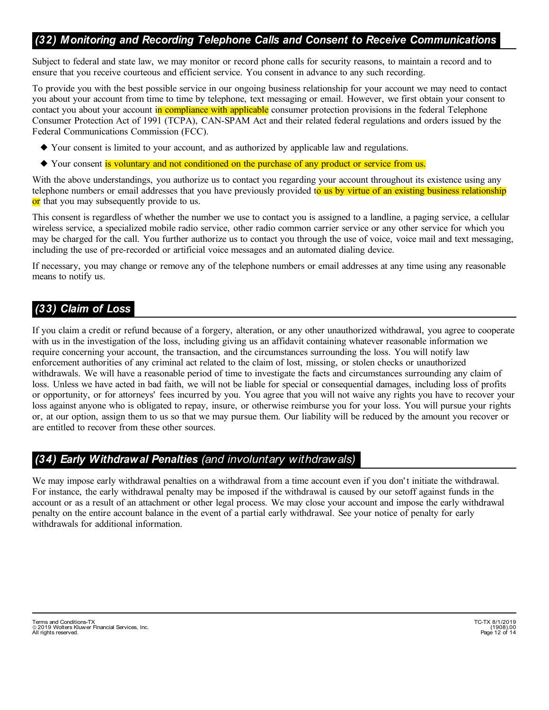#### *(32) Monitoring and Recording Telephone Calls and Consent to Receive Communications*

Subject to federal and state law, we may monitor or record phone calls for security reasons, to maintain a record and to ensure that you receive courteous and efficient service. You consent in advance to any such recording.

To provide you with the best possible service in our ongoing business relationship for your account we may need to contact you about your account from time to time by telephone, text messaging or email. However, we first obtain your consent to contact you about your account in compliance with applicable consumer protection provisions in the federal Telephone Consumer Protection Act of 1991 (TCPA), CAN-SPAM Act and their related federal regulations and orders issued by the Federal Communications Commission (FCC).

- } Your consent is limited to your account, and as authorized by applicable law and regulations.
- Your consent is voluntary and not conditioned on the purchase of any product or service from us.

With the above understandings, you authorize us to contact you regarding your account throughout its existence using any telephone numbers or email addresses that you have previously provided to us by virtue of an existing business relationship or that you may subsequently provide to us.

This consent is regardless of whether the number we use to contact you is assigned to a landline, a paging service, a cellular wireless service, a specialized mobile radio service, other radio common carrier service or any other service for which you may be charged for the call. You further authorize us to contact you through the use of voice, voice mail and text messaging, including the use of pre-recorded or artificial voice messages and an automated dialing device.

If necessary, you may change or remove any of the telephone numbers or email addresses at any time using any reasonable means to notify us.

## *(33) Claim of Loss*

If you claim a credit or refund because of a forgery, alteration, or any other unauthorized withdrawal, you agree to cooperate with us in the investigation of the loss, including giving us an affidavit containing whatever reasonable information we require concerning your account, the transaction, and the circumstances surrounding the loss. You will notify law enforcement authorities of any criminal act related to the claim of lost, missing, or stolen checks or unauthorized withdrawals. We will have a reasonable period of time to investigate the facts and circumstances surrounding any claim of loss. Unless we have acted in bad faith, we will not be liable for special or consequential damages, including loss of profits or opportunity, or for attorneys' fees incurred by you. You agree that you will not waive any rights you have to recover your loss against anyone who is obligated to repay, insure, or otherwise reimburse you for your loss. You will pursue your rights or, at our option, assign them to us so that we may pursue them. Our liability will be reduced by the amount you recover or are entitled to recover from these other sources.

#### *(34) Early Withdrawal Penalties (and involuntary withdrawals)*

We may impose early withdrawal penalties on a withdrawal from a time account even if you don't initiate the withdrawal. For instance, the early withdrawal penalty may be imposed if the withdrawal is caused by our setoff against funds in the account or as a result of an attachment or other legal process. We may close your account and impose the early withdrawal penalty on the entire account balance in the event of a partial early withdrawal. See your notice of penalty for early withdrawals for additional information.